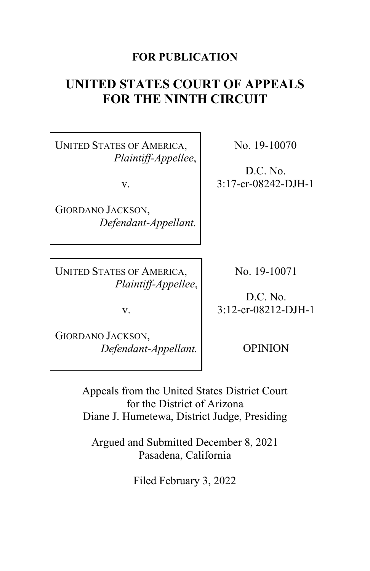# **FOR PUBLICATION**

# **UNITED STATES COURT OF APPEALS FOR THE NINTH CIRCUIT**

UNITED STATES OF AMERICA, *Plaintiff-Appellee*,

v.

GIORDANO JACKSON, *Defendant-Appellant.*

UNITED STATES OF AMERICA, *Plaintiff-Appellee*,

No. 19-10070

D.C. No. 3:17-cr-08242-DJH-1

No. 19-10071

D.C. No. 3:12-cr-08212-DJH-1

GIORDANO JACKSON, *Defendant-Appellant.*

v.

OPINION

Appeals from the United States District Court for the District of Arizona Diane J. Humetewa, District Judge, Presiding

Argued and Submitted December 8, 2021 Pasadena, California

Filed February 3, 2022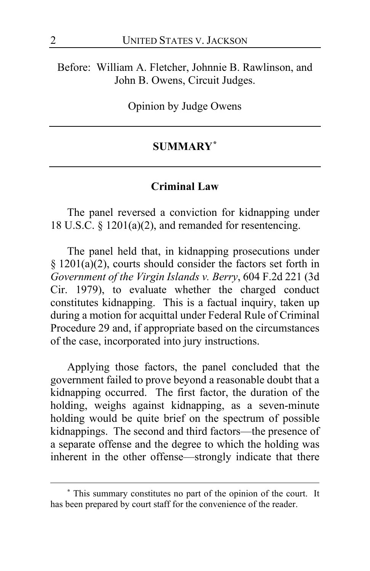Before: William A. Fletcher, Johnnie B. Rawlinson, and John B. Owens, Circuit Judges.

Opinion by Judge Owens

# **SUMMARY[\\*](#page-1-0)**

### **Criminal Law**

The panel reversed a conviction for kidnapping under 18 U.S.C. § 1201(a)(2), and remanded for resentencing.

The panel held that, in kidnapping prosecutions under § 1201(a)(2), courts should consider the factors set forth in *Government of the Virgin Islands v. Berry*, 604 F.2d 221 (3d Cir. 1979), to evaluate whether the charged conduct constitutes kidnapping. This is a factual inquiry, taken up during a motion for acquittal under Federal Rule of Criminal Procedure 29 and, if appropriate based on the circumstances of the case, incorporated into jury instructions.

Applying those factors, the panel concluded that the government failed to prove beyond a reasonable doubt that a kidnapping occurred. The first factor, the duration of the holding, weighs against kidnapping, as a seven-minute holding would be quite brief on the spectrum of possible kidnappings. The second and third factors—the presence of a separate offense and the degree to which the holding was inherent in the other offense—strongly indicate that there

<span id="page-1-0"></span>**<sup>\*</sup>** This summary constitutes no part of the opinion of the court. It has been prepared by court staff for the convenience of the reader.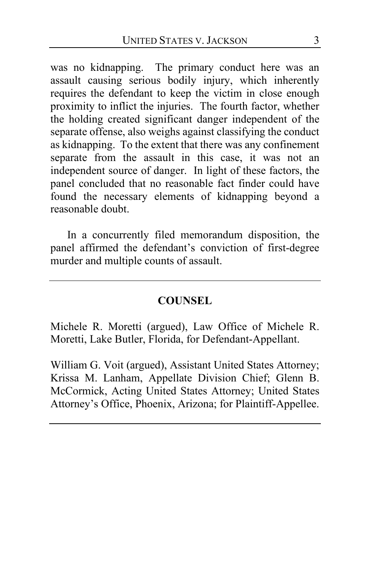was no kidnapping. The primary conduct here was an assault causing serious bodily injury, which inherently requires the defendant to keep the victim in close enough proximity to inflict the injuries. The fourth factor, whether the holding created significant danger independent of the separate offense, also weighs against classifying the conduct as kidnapping. To the extent that there was any confinement separate from the assault in this case, it was not an independent source of danger. In light of these factors, the panel concluded that no reasonable fact finder could have found the necessary elements of kidnapping beyond a reasonable doubt.

In a concurrently filed memorandum disposition, the panel affirmed the defendant's conviction of first-degree murder and multiple counts of assault.

# **COUNSEL**

Michele R. Moretti (argued), Law Office of Michele R. Moretti, Lake Butler, Florida, for Defendant-Appellant.

William G. Voit (argued), Assistant United States Attorney; Krissa M. Lanham, Appellate Division Chief; Glenn B. McCormick, Acting United States Attorney; United States Attorney's Office, Phoenix, Arizona; for Plaintiff-Appellee.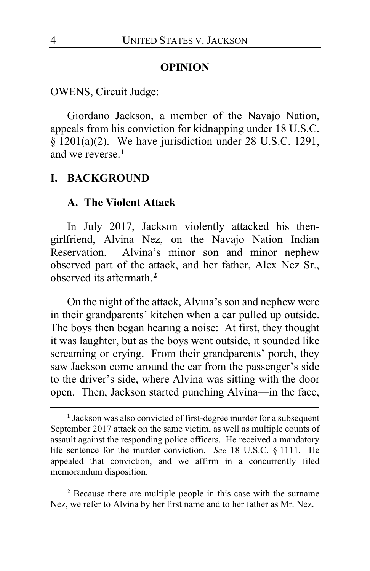#### **OPINION**

OWENS, Circuit Judge:

Giordano Jackson, a member of the Navajo Nation, appeals from his conviction for kidnapping under 18 U.S.C. § 1201(a)(2). We have jurisdiction under 28 U.S.C. 1291, and we reverse.**[1](#page-3-0)**

### **I. BACKGROUND**

#### **A. The Violent Attack**

In July 2017, Jackson violently attacked his thengirlfriend, Alvina Nez, on the Navajo Nation Indian Reservation. Alvina's minor son and minor nephew observed part of the attack, and her father, Alex Nez Sr., observed its aftermath.**[2](#page-3-1)**

On the night of the attack, Alvina's son and nephew were in their grandparents' kitchen when a car pulled up outside. The boys then began hearing a noise: At first, they thought it was laughter, but as the boys went outside, it sounded like screaming or crying. From their grandparents' porch, they saw Jackson come around the car from the passenger's side to the driver's side, where Alvina was sitting with the door open. Then, Jackson started punching Alvina—in the face,

<span id="page-3-1"></span>**<sup>2</sup>** Because there are multiple people in this case with the surname Nez, we refer to Alvina by her first name and to her father as Mr. Nez.

<span id="page-3-0"></span>**<sup>1</sup>** Jackson was also convicted of first-degree murder for a subsequent September 2017 attack on the same victim, as well as multiple counts of assault against the responding police officers. He received a mandatory life sentence for the murder conviction. *See* 18 U.S.C. § 1111. He appealed that conviction, and we affirm in a concurrently filed memorandum disposition.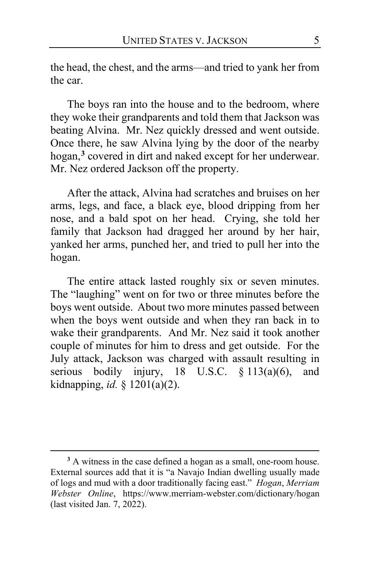the head, the chest, and the arms—and tried to yank her from the car.

The boys ran into the house and to the bedroom, where they woke their grandparents and told them that Jackson was beating Alvina. Mr. Nez quickly dressed and went outside. Once there, he saw Alvina lying by the door of the nearby hogan,**[3](#page-4-0)** covered in dirt and naked except for her underwear. Mr. Nez ordered Jackson off the property.

After the attack, Alvina had scratches and bruises on her arms, legs, and face, a black eye, blood dripping from her nose, and a bald spot on her head. Crying, she told her family that Jackson had dragged her around by her hair, yanked her arms, punched her, and tried to pull her into the hogan.

The entire attack lasted roughly six or seven minutes. The "laughing" went on for two or three minutes before the boys went outside. About two more minutes passed between when the boys went outside and when they ran back in to wake their grandparents. And Mr. Nez said it took another couple of minutes for him to dress and get outside. For the July attack, Jackson was charged with assault resulting in serious bodily injury, 18 U.S.C.  $\frac{13(a)(6)}{2}$ , and kidnapping, *id.* § 1201(a)(2).

<span id="page-4-0"></span>**<sup>3</sup>** A witness in the case defined a hogan as a small, one-room house. External sources add that it is "a Navajo Indian dwelling usually made of logs and mud with a door traditionally facing east." *Hogan*, *Merriam Webster Online*, https://www.merriam-webster.com/dictionary/hogan (last visited Jan. 7, 2022).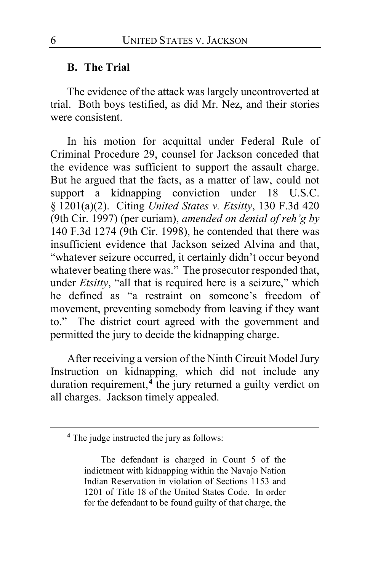#### **B. The Trial**

The evidence of the attack was largely uncontroverted at trial. Both boys testified, as did Mr. Nez, and their stories were consistent.

In his motion for acquittal under Federal Rule of Criminal Procedure 29, counsel for Jackson conceded that the evidence was sufficient to support the assault charge. But he argued that the facts, as a matter of law, could not support a kidnapping conviction under 18 U.S.C. § 1201(a)(2). Citing *United States v. Etsitty*, 130 F.3d 420 (9th Cir. 1997) (per curiam), *amended on denial of reh'g by* 140 F.3d 1274 (9th Cir. 1998), he contended that there was insufficient evidence that Jackson seized Alvina and that, "whatever seizure occurred, it certainly didn't occur beyond whatever beating there was." The prosecutor responded that, under *Etsitty*, "all that is required here is a seizure," which he defined as "a restraint on someone's freedom of movement, preventing somebody from leaving if they want to." The district court agreed with the government and permitted the jury to decide the kidnapping charge.

After receiving a version of the Ninth Circuit Model Jury Instruction on kidnapping, which did not include any duration requirement,**[4](#page-5-0)** the jury returned a guilty verdict on all charges. Jackson timely appealed.

<span id="page-5-1"></span><span id="page-5-0"></span>**<sup>4</sup>** The judge instructed the jury as follows:

The defendant is charged in Count 5 of the indictment with kidnapping within the Navajo Nation Indian Reservation in violation of Sections 1153 and 1201 of Title 18 of the United States Code. In order for the defendant to be found guilty of that charge, the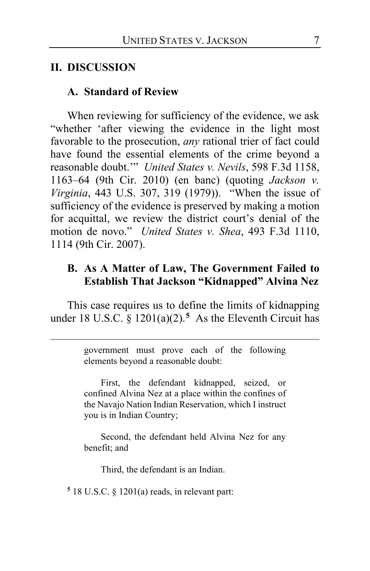### **II. DISCUSSION**

#### **A. Standard of Review**

When reviewing for sufficiency of the evidence, we ask "whether 'after viewing the evidence in the light most favorable to the prosecution, *any* rational trier of fact could have found the essential elements of the crime beyond a reasonable doubt.'" *United States v. Nevils*, 598 F.3d 1158, 1163–64 (9th Cir. 2010) (en banc) (quoting *Jackson v. Virginia*, 443 U.S. 307, 319 (1979)). "When the issue of sufficiency of the evidence is preserved by making a motion for acquittal, we review the district court's denial of the motion de novo." *United States v. Shea*, 493 F.3d 1110, 1114 (9th Cir. 2007).

## **B. As A Matter of Law, The Government Failed to Establish That Jackson "Kidnapped" Alvina Nez**

This case requires us to define the limits of kidnapping under 18 U.S.C.  $\frac{1201(a)(2)}{5}$  $\frac{1201(a)(2)}{5}$  $\frac{1201(a)(2)}{5}$  As the Eleventh Circuit has

> government must prove each of the following elements beyond a reasonable doubt:

> First, the defendant kidnapped, seized, or confined Alvina Nez at a place within the confines of the Navajo Nation Indian Reservation, which I instruct you is in Indian Country;

> Second, the defendant held Alvina Nez for any benefit; and

Third, the defendant is an Indian.

<span id="page-6-0"></span>**<sup>5</sup>** 18 U.S.C. § 1201(a) reads, in relevant part: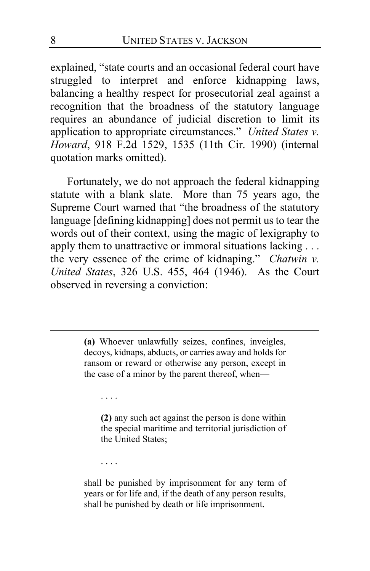explained, "state courts and an occasional federal court have struggled to interpret and enforce kidnapping laws, balancing a healthy respect for prosecutorial zeal against a recognition that the broadness of the statutory language requires an abundance of judicial discretion to limit its application to appropriate circumstances." *United States v. Howard*, 918 F.2d 1529, 1535 (11th Cir. 1990) (internal quotation marks omitted).

Fortunately, we do not approach the federal kidnapping statute with a blank slate. More than 75 years ago, the Supreme Court warned that "the broadness of the statutory language [defining kidnapping] does not permit us to tear the words out of their context, using the magic of lexigraphy to apply them to unattractive or immoral situations lacking . . . the very essence of the crime of kidnaping." *Chatwin v. United States*, 326 U.S. 455, 464 (1946). As the Court observed in reversing a conviction:

> **(a)** Whoever unlawfully seizes, confines, inveigles, decoys, kidnaps, abducts, or carries away and holds for ransom or reward or otherwise any person, except in the case of a minor by the parent thereof, when—

. . . .

**(2)** any such act against the person is done within the special maritime and territorial jurisdiction of the United States;

. . . .

shall be punished by imprisonment for any term of years or for life and, if the death of any person results, shall be punished by death or life imprisonment.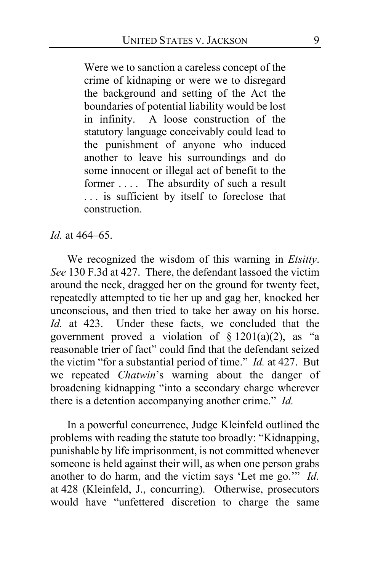Were we to sanction a careless concept of the crime of kidnaping or were we to disregard the background and setting of the Act the boundaries of potential liability would be lost in infinity. A loose construction of the statutory language conceivably could lead to the punishment of anyone who induced another to leave his surroundings and do some innocent or illegal act of benefit to the former .... The absurdity of such a result . . . is sufficient by itself to foreclose that construction.

*Id.* at 464–65.

We recognized the wisdom of this warning in *Etsitty*. *See* 130 F.3d at 427. There, the defendant lassoed the victim around the neck, dragged her on the ground for twenty feet, repeatedly attempted to tie her up and gag her, knocked her unconscious, and then tried to take her away on his horse. *Id.* at 423. Under these facts, we concluded that the government proved a violation of  $\S$  1201(a)(2), as "a reasonable trier of fact" could find that the defendant seized the victim "for a substantial period of time." *Id.* at 427. But we repeated *Chatwin*'s warning about the danger of broadening kidnapping "into a secondary charge wherever there is a detention accompanying another crime." *Id.*

In a powerful concurrence, Judge Kleinfeld outlined the problems with reading the statute too broadly: "Kidnapping, punishable by life imprisonment, is not committed whenever someone is held against their will, as when one person grabs another to do harm, and the victim says 'Let me go.'" *Id.* at 428 (Kleinfeld, J., concurring). Otherwise, prosecutors would have "unfettered discretion to charge the same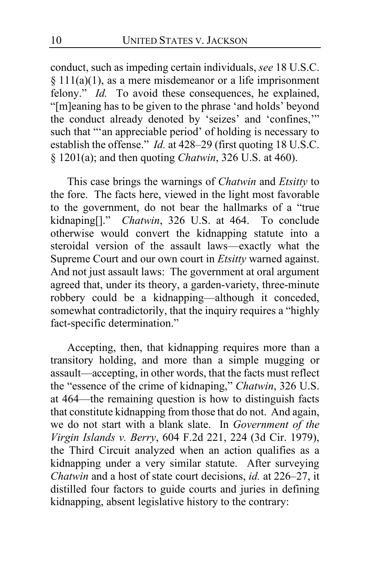conduct, such as impeding certain individuals, *see* 18 U.S.C. § 111(a)(1), as a mere misdemeanor or a life imprisonment felony." *Id.* To avoid these consequences, he explained, "[m]eaning has to be given to the phrase 'and holds' beyond the conduct already denoted by 'seizes' and 'confines,'" such that "'an appreciable period' of holding is necessary to establish the offense." *Id.* at 428–29 (first quoting 18 U.S.C. § 1201(a); and then quoting *Chatwin*, 326 U.S. at 460).

This case brings the warnings of *Chatwin* and *Etsitty* to the fore. The facts here, viewed in the light most favorable to the government, do not bear the hallmarks of a "true kidnaping[]." *Chatwin*, 326 U.S. at 464. To conclude otherwise would convert the kidnapping statute into a steroidal version of the assault laws—exactly what the Supreme Court and our own court in *Etsitty* warned against. And not just assault laws: The government at oral argument agreed that, under its theory, a garden-variety, three-minute robbery could be a kidnapping—although it conceded, somewhat contradictorily, that the inquiry requires a "highly fact-specific determination."

Accepting, then, that kidnapping requires more than a transitory holding, and more than a simple mugging or assault—accepting, in other words, that the facts must reflect the "essence of the crime of kidnaping," *Chatwin*, 326 U.S. at 464—the remaining question is how to distinguish facts that constitute kidnapping from those that do not. And again, we do not start with a blank slate. In *Government of the Virgin Islands v. Berry*, 604 F.2d 221, 224 (3d Cir. 1979), the Third Circuit analyzed when an action qualifies as a kidnapping under a very similar statute. After surveying *Chatwin* and a host of state court decisions, *id.* at 226–27, it distilled four factors to guide courts and juries in defining kidnapping, absent legislative history to the contrary: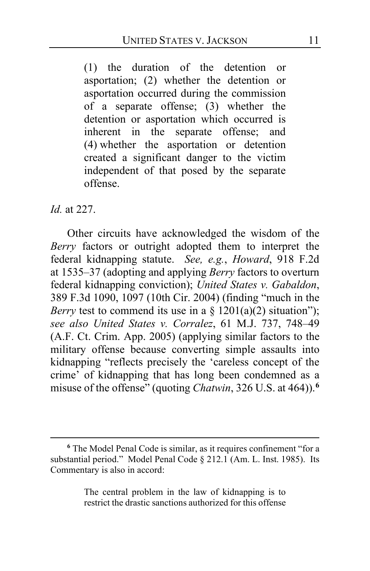(1) the duration of the detention or asportation; (2) whether the detention or asportation occurred during the commission of a separate offense; (3) whether the detention or asportation which occurred is inherent in the separate offense; and (4) whether the asportation or detention created a significant danger to the victim independent of that posed by the separate offense.

### *Id.* at 227.

Other circuits have acknowledged the wisdom of the *Berry* factors or outright adopted them to interpret the federal kidnapping statute. *See, e.g.*, *Howard*, 918 F.2d at 1535–37 (adopting and applying *Berry* factors to overturn federal kidnapping conviction); *United States v. Gabaldon*, 389 F.3d 1090, 1097 (10th Cir. 2004) (finding "much in the *Berry* test to commend its use in a  $\S$  1201(a)(2) situation"); *see also United States v. Corralez*, 61 M.J. 737, 748–49 (A.F. Ct. Crim. App. 2005) (applying similar factors to the military offense because converting simple assaults into kidnapping "reflects precisely the 'careless concept of the crime' of kidnapping that has long been condemned as a misuse of the offense" (quoting *Chatwin*, 326 U.S. at 464)).**[6](#page-10-0)**

The central problem in the law of kidnapping is to restrict the drastic sanctions authorized for this offense

<span id="page-10-0"></span>**<sup>6</sup>** The Model Penal Code is similar, as it requires confinement "for a substantial period." Model Penal Code § 212.1 (Am. L. Inst. 1985). Its Commentary is also in accord: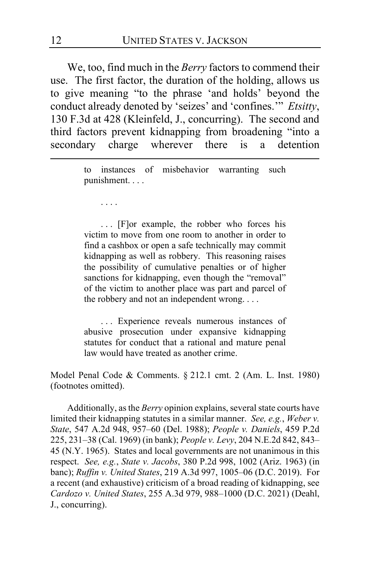We, too, find much in the *Berry* factors to commend their use. The first factor, the duration of the holding, allows us to give meaning "to the phrase 'and holds' beyond the conduct already denoted by 'seizes' and 'confines.'" *Etsitty*, 130 F.3d at 428 (Kleinfeld, J., concurring). The second and third factors prevent kidnapping from broadening "into a secondary charge wherever there is a detention

> to instances of misbehavior warranting such punishment. . . .

. . . .

. . . [F]or example, the robber who forces his victim to move from one room to another in order to find a cashbox or open a safe technically may commit kidnapping as well as robbery. This reasoning raises the possibility of cumulative penalties or of higher sanctions for kidnapping, even though the "removal" of the victim to another place was part and parcel of the robbery and not an independent wrong. . . .

. . . Experience reveals numerous instances of abusive prosecution under expansive kidnapping statutes for conduct that a rational and mature penal law would have treated as another crime.

Model Penal Code & Comments. § 212.1 cmt. 2 (Am. L. Inst. 1980) (footnotes omitted).

Additionally, as the *Berry* opinion explains, several state courts have limited their kidnapping statutes in a similar manner. *See, e.g.*, *Weber v. State*, 547 A.2d 948, 957–60 (Del. 1988); *People v. Daniels*, 459 P.2d 225, 231–38 (Cal. 1969) (in bank); *People v. Levy*, 204 N.E.2d 842, 843– 45 (N.Y. 1965). States and local governments are not unanimous in this respect. *See, e.g.*, *State v. Jacobs*, 380 P.2d 998, 1002 (Ariz. 1963) (in banc); *Ruffin v. United States*, 219 A.3d 997, 1005–06 (D.C. 2019). For a recent (and exhaustive) criticism of a broad reading of kidnapping, see *Cardozo v. United States*, 255 A.3d 979, 988–1000 (D.C. 2021) (Deahl, J., concurring).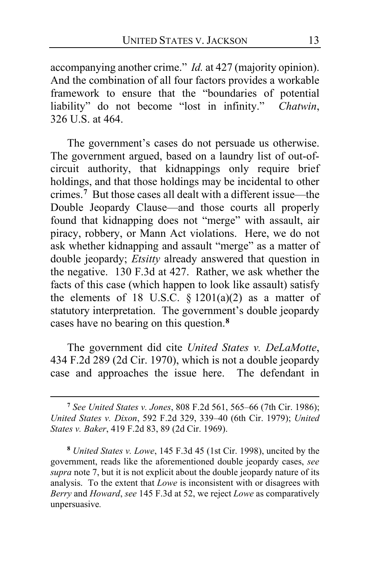accompanying another crime." *Id.* at 427 (majority opinion). And the combination of all four factors provides a workable framework to ensure that the "boundaries of potential liability" do not become "lost in infinity." *Chatwin*, 326 U.S. at 464.

<span id="page-12-0"></span>The government's cases do not persuade us otherwise. The government argued, based on a laundry list of out-ofcircuit authority, that kidnappings only require brief holdings, and that those holdings may be incidental to other crimes.**[7](#page-12-1)** But those cases all dealt with a different issue—the Double Jeopardy Clause—and those courts all properly found that kidnapping does not "merge" with assault, air piracy, robbery, or Mann Act violations. Here, we do not ask whether kidnapping and assault "merge" as a matter of double jeopardy; *Etsitty* already answered that question in the negative. 130 F.3d at 427. Rather, we ask whether the facts of this case (which happen to look like assault) satisfy the elements of 18 U.S.C.  $\S$  1201(a)(2) as a matter of statutory interpretation. The government's double jeopardy cases have no bearing on this question.**[8](#page-12-2)**

The government did cite *United States v. DeLaMotte*, 434 F.2d 289 (2d Cir. 1970), which is not a double jeopardy case and approaches the issue here. The defendant in

<span id="page-12-1"></span>**<sup>7</sup>** *See United States v. Jones*, 808 F.2d 561, 565–66 (7th Cir. 1986); *United States v. Dixon*, 592 F.2d 329, 339–40 (6th Cir. 1979); *United States v. Baker*, 419 F.2d 83, 89 (2d Cir. 1969).

<span id="page-12-2"></span>**<sup>8</sup>** *United States v. Lowe*, 145 F.3d 45 (1st Cir. 1998), uncited by the government, reads like the aforementioned double jeopardy cases, *see supra* note [7,](#page-12-0) but it is not explicit about the double jeopardy nature of its analysis. To the extent that *Lowe* is inconsistent with or disagrees with *Berry* and *Howard*, *see* 145 F.3d at 52, we reject *Lowe* as comparatively unpersuasive*.*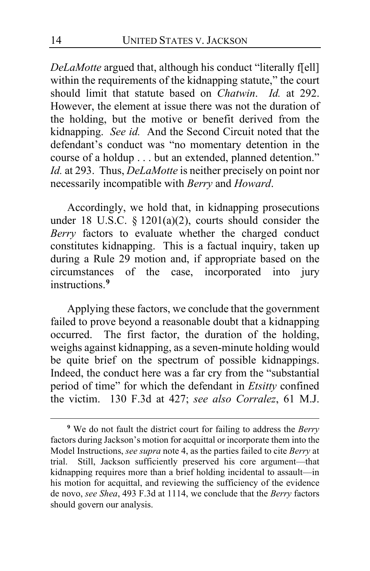*DeLaMotte* argued that, although his conduct "literally f[ell] within the requirements of the kidnapping statute," the court should limit that statute based on *Chatwin*. *Id.* at 292. However, the element at issue there was not the duration of the holding, but the motive or benefit derived from the kidnapping. *See id.* And the Second Circuit noted that the defendant's conduct was "no momentary detention in the course of a holdup . . . but an extended, planned detention." *Id.* at 293. Thus, *DeLaMotte* is neither precisely on point nor necessarily incompatible with *Berry* and *Howard*.

Accordingly, we hold that, in kidnapping prosecutions under 18 U.S.C.  $\S$  1201(a)(2), courts should consider the *Berry* factors to evaluate whether the charged conduct constitutes kidnapping. This is a factual inquiry, taken up during a Rule 29 motion and, if appropriate based on the circumstances of the case, incorporated into jury instructions.**[9](#page-13-0)**

Applying these factors, we conclude that the government failed to prove beyond a reasonable doubt that a kidnapping occurred. The first factor, the duration of the holding, weighs against kidnapping, as a seven-minute holding would be quite brief on the spectrum of possible kidnappings. Indeed, the conduct here was a far cry from the "substantial period of time" for which the defendant in *Etsitty* confined the victim. 130 F.3d at 427; *see also Corralez*, 61 M.J.

<span id="page-13-0"></span>**<sup>9</sup>** We do not fault the district court for failing to address the *Berry*  factors during Jackson's motion for acquittal or incorporate them into the Model Instructions, *see supra* note [4,](#page-5-1) as the parties failed to cite *Berry* at trial. Still, Jackson sufficiently preserved his core argument—that kidnapping requires more than a brief holding incidental to assault—in his motion for acquittal, and reviewing the sufficiency of the evidence de novo, *see Shea*, 493 F.3d at 1114, we conclude that the *Berry* factors should govern our analysis.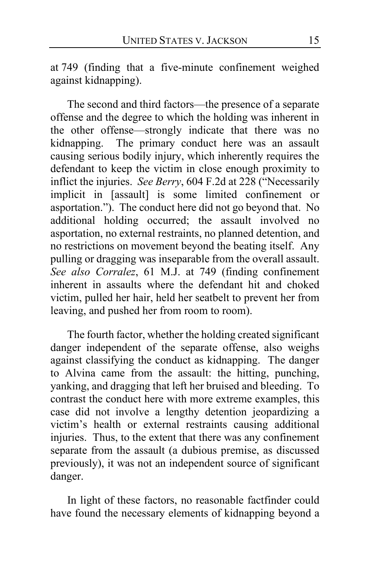at 749 (finding that a five-minute confinement weighed against kidnapping).

The second and third factors—the presence of a separate offense and the degree to which the holding was inherent in the other offense—strongly indicate that there was no kidnapping. The primary conduct here was an assault causing serious bodily injury, which inherently requires the defendant to keep the victim in close enough proximity to inflict the injuries. *See Berry*, 604 F.2d at 228 ("Necessarily implicit in [assault] is some limited confinement or asportation."). The conduct here did not go beyond that. No additional holding occurred; the assault involved no asportation, no external restraints, no planned detention, and no restrictions on movement beyond the beating itself. Any pulling or dragging was inseparable from the overall assault. *See also Corralez*, 61 M.J. at 749 (finding confinement inherent in assaults where the defendant hit and choked victim, pulled her hair, held her seatbelt to prevent her from leaving, and pushed her from room to room).

The fourth factor, whether the holding created significant danger independent of the separate offense, also weighs against classifying the conduct as kidnapping. The danger to Alvina came from the assault: the hitting, punching, yanking, and dragging that left her bruised and bleeding. To contrast the conduct here with more extreme examples, this case did not involve a lengthy detention jeopardizing a victim's health or external restraints causing additional injuries. Thus, to the extent that there was any confinement separate from the assault (a dubious premise, as discussed previously), it was not an independent source of significant danger.

In light of these factors, no reasonable factfinder could have found the necessary elements of kidnapping beyond a